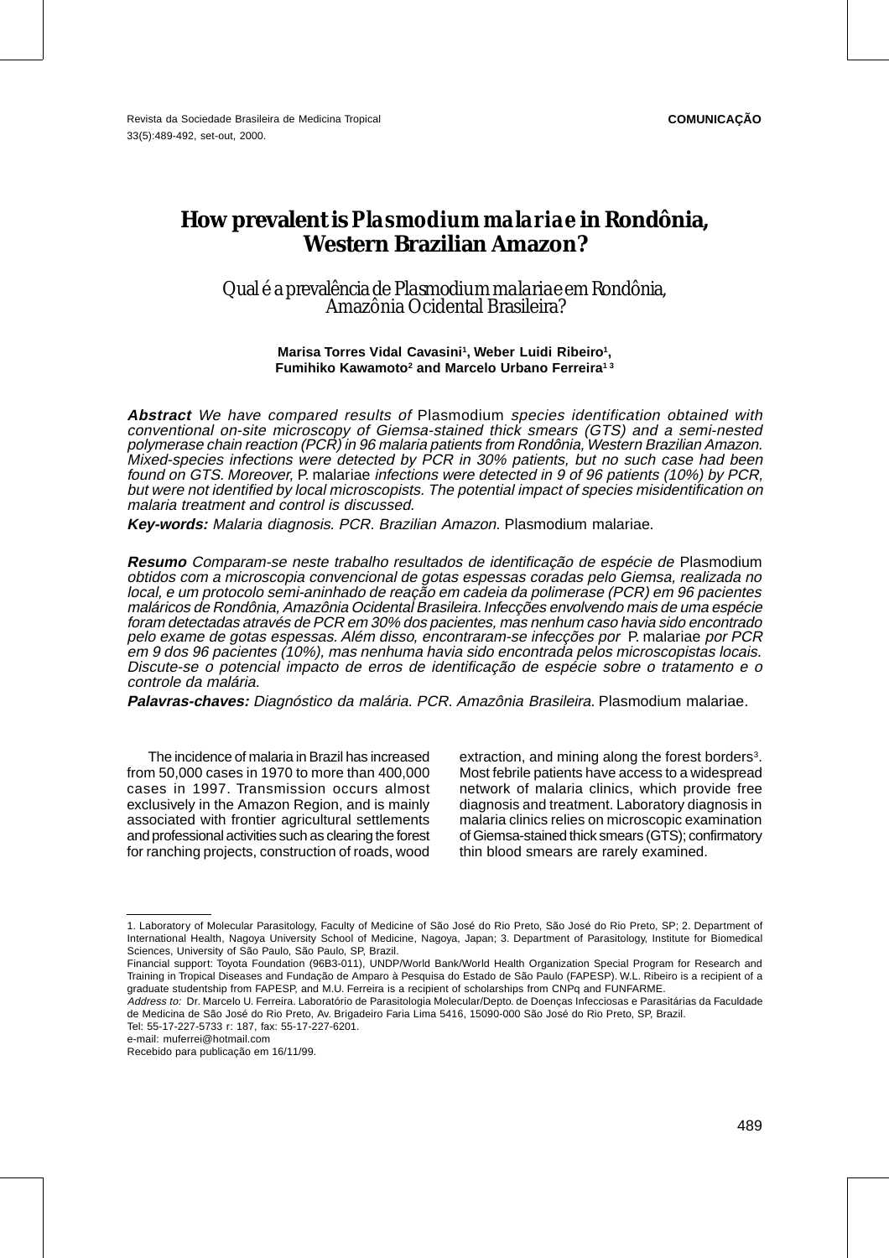## **How prevalent is** *Plasmodium malariae* **in Rondônia, Western Brazilian Amazon?**

Qual é a prevalência de *Plasmodium malariae* em Rondônia, Amazônia Ocidental Brasileira?

> Marisa Torres Vidal Cavasini<sup>1</sup>, Weber Luidi Ribeiro<sup>1</sup>, **Fumihiko Kawamoto2 and Marcelo Urbano Ferreira1 3**

**Abstract** We have compared results of Plasmodium species identification obtained with conventional on-site microscopy of Giemsa-stained thick smears (GTS) and a semi-nested polymerase chain reaction (PCR) in 96 malaria patients from Rondônia, Western Brazilian Amazon. Mixed-species infections were detected by PCR in 30% patients, but no such case had been found on GTS. Moreover, P. malariae infections were detected in 9 of 96 patients (10%) by PCR, but were not identified by local microscopists. The potential impact of species misidentification on malaria treatment and control is discussed.

**Key-words:** Malaria diagnosis. PCR. Brazilian Amazon. Plasmodium malariae.

**Resumo** Comparam-se neste trabalho resultados de identificação de espécie de Plasmodium obtidos com a microscopia convencional de gotas espessas coradas pelo Giemsa, realizada no local, e um protocolo semi-aninhado de reação em cadeia da polimerase (PCR) em 96 pacientes maláricos de Rondônia, Amazônia Ocidental Brasileira. Infecções envolvendo mais de uma espécie foram detectadas através de PCR em 30% dos pacientes, mas nenhum caso havia sido encontrado pelo exame de gotas espessas. Além disso, encontraram-se infecções por P. malariae por PCR em 9 dos 96 pacientes (10%), mas nenhuma havia sido encontrada pelos microscopistas locais. Discute-se o potencial impacto de erros de identificação de espécie sobre o tratamento e o controle da malária.

**Palavras-chaves:** Diagnóstico da malária. PCR. Amazônia Brasileira. Plasmodium malariae.

The incidence of malaria in Brazil has increased from 50,000 cases in 1970 to more than 400,000 cases in 1997. Transmission occurs almost exclusively in the Amazon Region, and is mainly associated with frontier agricultural settlements and professional activities such as clearing the forest for ranching projects, construction of roads, wood

extraction, and mining along the forest borders $3$ . Most febrile patients have access to a widespread network of malaria clinics, which provide free diagnosis and treatment. Laboratory diagnosis in malaria clinics relies on microscopic examination of Giemsa-stained thick smears (GTS); confirmatory thin blood smears are rarely examined.

Tel: 55-17-227-5733 r: 187, fax: 55-17-227-6201.

<sup>1.</sup> Laboratory of Molecular Parasitology, Faculty of Medicine of São José do Rio Preto, São José do Rio Preto, SP; 2. Department of International Health, Nagoya University School of Medicine, Nagoya, Japan; 3. Department of Parasitology, Institute for Biomedical Sciences, University of São Paulo, São Paulo, SP, Brazil.

Financial support: Toyota Foundation (96B3-011), UNDP/World Bank/World Health Organization Special Program for Research and Training in Tropical Diseases and Fundação de Amparo à Pesquisa do Estado de São Paulo (FAPESP). W.L. Ribeiro is a recipient of a graduate studentship from FAPESP, and M.U. Ferreira is a recipient of scholarships from CNPq and FUNFARME.

Address to: Dr. Marcelo U. Ferreira. Laboratório de Parasitologia Molecular/Depto. de Doenças Infecciosas e Parasitárias da Faculdade de Medicina de São José do Rio Preto, Av. Brigadeiro Faria Lima 5416, 15090-000 São José do Rio Preto, SP, Brazil.

e-mail: muferrei@hotmail.com

Recebido para publicação em 16/11/99.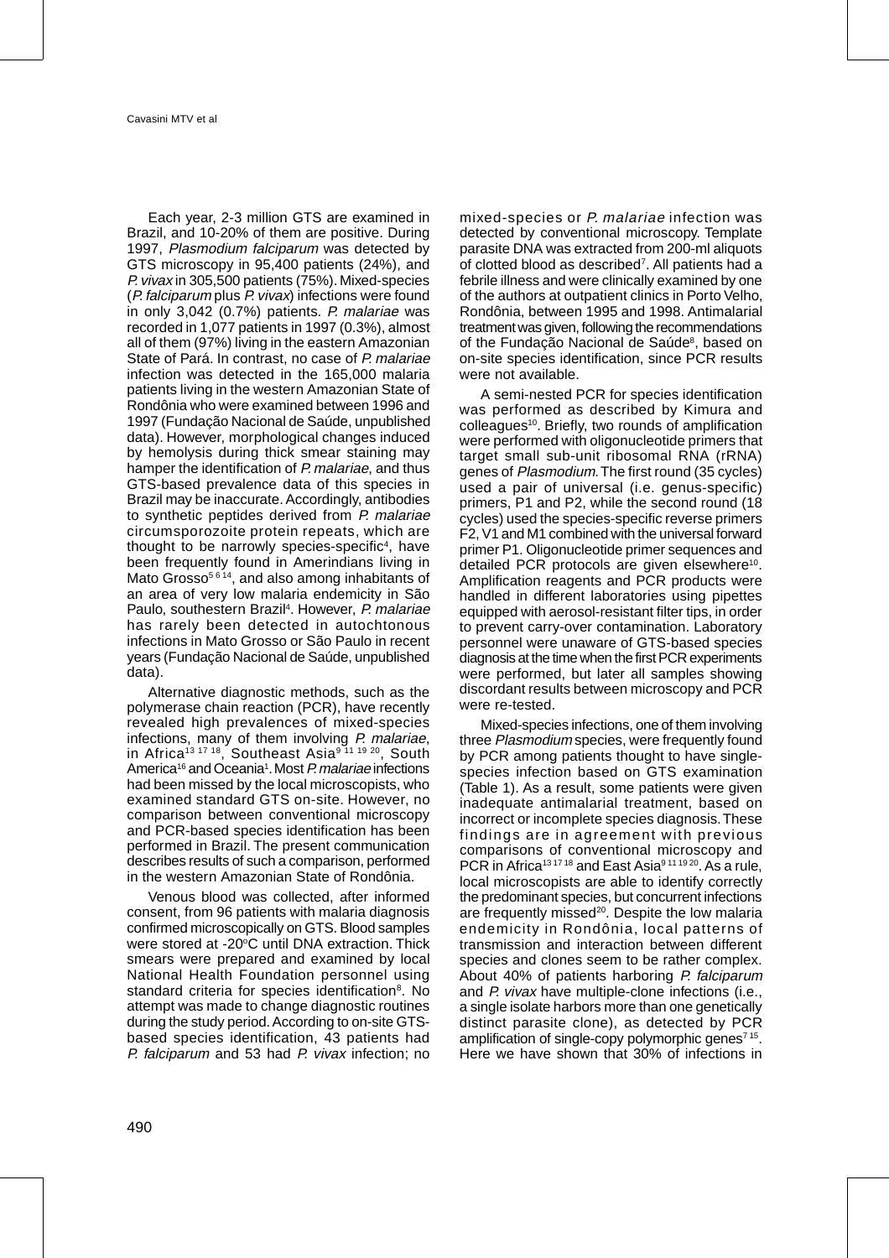Each year, 2-3 million GTS are examined in Brazil, and 10-20% of them are positive. During 1997, Plasmodium falciparum was detected by GTS microscopy in 95,400 patients (24%), and P. vivax in 305,500 patients (75%). Mixed-species (P. falciparum plus P. vivax) infections were found in only 3,042 (0.7%) patients. P. malariae was recorded in 1,077 patients in 1997 (0.3%), almost all of them (97%) living in the eastern Amazonian State of Pará. In contrast, no case of P. malariae infection was detected in the 165,000 malaria patients living in the western Amazonian State of Rondônia who were examined between 1996 and 1997 (Fundação Nacional de Saúde, unpublished data). However, morphological changes induced by hemolysis during thick smear staining may hamper the identification of P. malariae, and thus GTS-based prevalence data of this species in Brazil may be inaccurate. Accordingly, antibodies to synthetic peptides derived from P. malariae circumsporozoite protein repeats, which are thought to be narrowly species-specific<sup>4</sup>, have been frequently found in Amerindians living in Mato Grosso<sup>5614</sup>, and also among inhabitants of an area of very low malaria endemicity in São Paulo, southestern Brazil<sup>4</sup>. However, P. malariae has rarely been detected in autochtonous infections in Mato Grosso or São Paulo in recent years (Fundação Nacional de Saúde, unpublished data).

Alternative diagnostic methods, such as the polymerase chain reaction (PCR), have recently revealed high prevalences of mixed-species infections, many of them involving P. malariae, in Africa<sup>13 17 18</sup>, Southeast Asia<sup>9 11 19 20</sup>, South America<sup>16</sup> and Oceania<sup>1</sup>. Most *P. malariae* infections had been missed by the local microscopists, who examined standard GTS on-site. However, no comparison between conventional microscopy and PCR-based species identification has been performed in Brazil. The present communication describes results of such a comparison, performed in the western Amazonian State of Rondônia.

Venous blood was collected, after informed consent, from 96 patients with malaria diagnosis confirmed microscopically on GTS. Blood samples were stored at -20°C until DNA extraction. Thick smears were prepared and examined by local National Health Foundation personnel using standard criteria for species identification<sup>8</sup>. No attempt was made to change diagnostic routines during the study period. According to on-site GTSbased species identification, 43 patients had P. falciparum and 53 had P. vivax infection; no

mixed-species or P. malariae infection was detected by conventional microscopy. Template parasite DNA was extracted from 200-ml aliquots of clotted blood as described<sup>7</sup>. All patients had a febrile illness and were clinically examined by one of the authors at outpatient clinics in Porto Velho, Rondônia, between 1995 and 1998. Antimalarial treatment was given, following the recommendations of the Fundação Nacional de Saúde<sup>8</sup>, based on on-site species identification, since PCR results were not available.

A semi-nested PCR for species identification was performed as described by Kimura and colleagues<sup>10</sup>. Briefly, two rounds of amplification were performed with oligonucleotide primers that target small sub-unit ribosomal RNA (rRNA) genes of Plasmodium. The first round (35 cycles) used a pair of universal (i.e. genus-specific) primers, P1 and P2, while the second round (18 cycles) used the species-specific reverse primers F2, V1 and M1 combined with the universal forward primer P1. Oligonucleotide primer sequences and detailed PCR protocols are given elsewhere<sup>10</sup>. Amplification reagents and PCR products were handled in different laboratories using pipettes equipped with aerosol-resistant filter tips, in order to prevent carry-over contamination. Laboratory personnel were unaware of GTS-based species diagnosis at the time when the first PCR experiments were performed, but later all samples showing discordant results between microscopy and PCR were re-tested.

Mixed-species infections, one of them involving three Plasmodium species, were frequently found by PCR among patients thought to have singlespecies infection based on GTS examination (Table 1). As a result, some patients were given inadequate antimalarial treatment, based on incorrect or incomplete species diagnosis. These findings are in agreement with previous comparisons of conventional microscopy and PCR in Africa<sup>131718</sup> and East Asia<sup>9111920</sup>. As a rule, local microscopists are able to identify correctly the predominant species, but concurrent infections are frequently missed<sup>20</sup>. Despite the low malaria endemicity in Rondônia, local patterns of transmission and interaction between different species and clones seem to be rather complex. About 40% of patients harboring P. falciparum and P. vivax have multiple-clone infections (i.e., a single isolate harbors more than one genetically distinct parasite clone), as detected by PCR amplification of single-copy polymorphic genes<sup>715</sup>. Here we have shown that 30% of infections in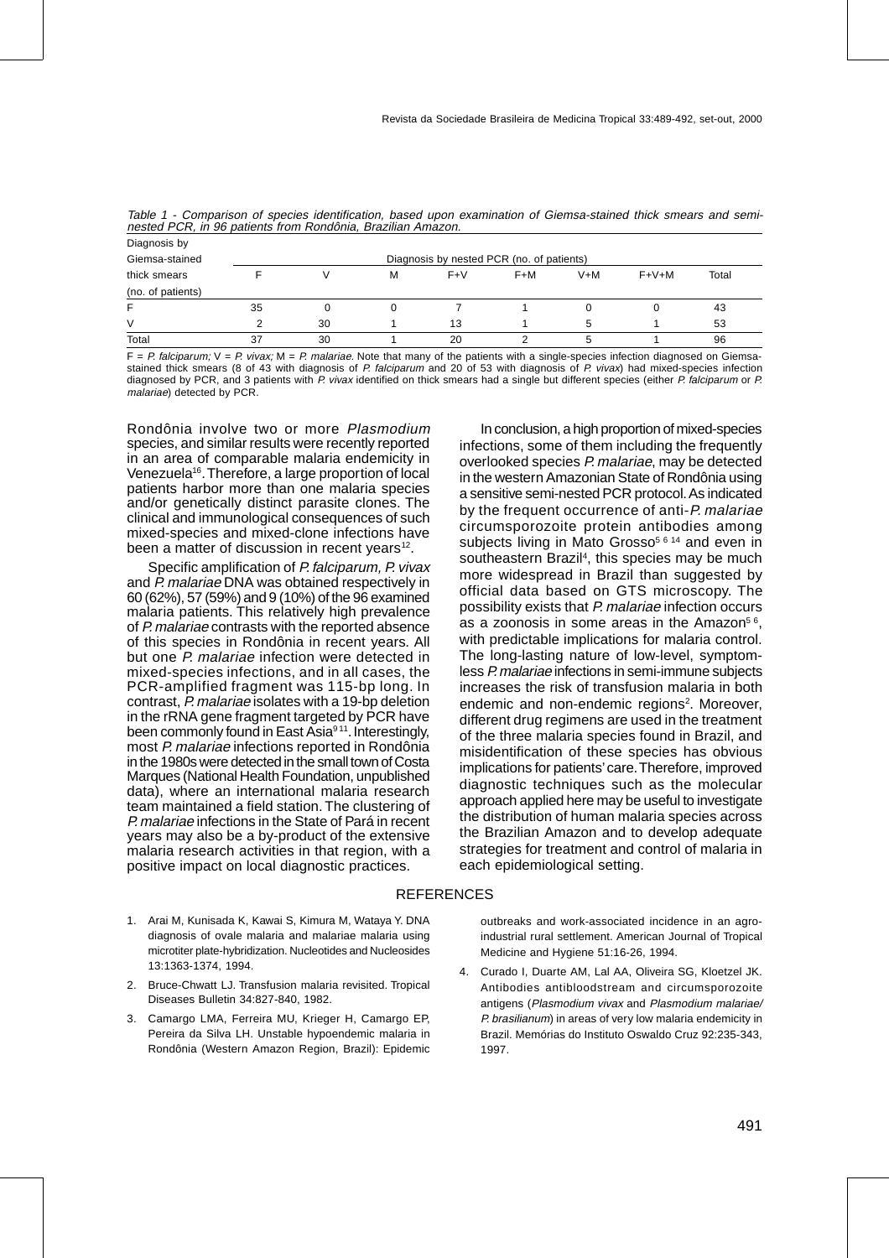| Diagnosis by      |                                           |    |   |       |     |       |         |       |  |
|-------------------|-------------------------------------------|----|---|-------|-----|-------|---------|-------|--|
| Giemsa-stained    | Diagnosis by nested PCR (no. of patients) |    |   |       |     |       |         |       |  |
| thick smears      |                                           |    | M | $F+V$ | F+M | $V+M$ | $F+V+M$ | Total |  |
| (no. of patients) |                                           |    |   |       |     |       |         |       |  |
| F                 | 35                                        | O  |   |       |     | 0     |         | 43    |  |
| V                 |                                           | 30 |   | 13    |     | 5     |         | 53    |  |
| Total             | 37                                        | 30 |   | 20    |     |       |         | 96    |  |

Table 1 - Comparison of species identification, based upon examination of Giemsa-stained thick smears and seminested PCR, in 96 patients from Rondônia, Brazilian Amazon.

 $F = P$ . falciparum;  $V = P$ . vivax;  $M = P$ . malariae. Note that many of the patients with a single-species infection diagnosed on Giemsastained thick smears (8 of 43 with diagnosis of P. falciparum and 20 of 53 with diagnosis of P. vivax) had mixed-species infection diagnosed by PCR, and 3 patients with P. vivax identified on thick smears had a single but different species (either P. falciparum or P. malariae) detected by PCR.

Rondônia involve two or more Plasmodium species, and similar results were recently reported in an area of comparable malaria endemicity in Venezuela16. Therefore, a large proportion of local patients harbor more than one malaria species and/or genetically distinct parasite clones. The clinical and immunological consequences of such mixed-species and mixed-clone infections have been a matter of discussion in recent years $12$ .

Specific amplification of P. falciparum, P. vivax and P. malariae DNA was obtained respectively in 60 (62%), 57 (59%) and 9 (10%) of the 96 examined malaria patients. This relatively high prevalence of P. malariae contrasts with the reported absence of this species in Rondônia in recent years. All but one P. malariae infection were detected in mixed-species infections, and in all cases, the PCR-amplified fragment was 115-bp long. In contrast, P. malariae isolates with a 19-bp deletion in the rRNA gene fragment targeted by PCR have been commonly found in East Asia<sup>911</sup>. Interestingly, most P. malariae infections reported in Rondônia in the 1980s were detected in the small town of Costa Marques (National Health Foundation, unpublished data), where an international malaria research team maintained a field station. The clustering of P. malariae infections in the State of Pará in recent years may also be a by-product of the extensive malaria research activities in that region, with a positive impact on local diagnostic practices.

In conclusion, a high proportion of mixed-species infections, some of them including the frequently overlooked species P. malariae, may be detected in the western Amazonian State of Rondônia using a sensitive semi-nested PCR protocol. As indicated by the frequent occurrence of anti-P. malariae circumsporozoite protein antibodies among subjects living in Mato Grosso<sup>5614</sup> and even in southeastern Brazil<sup>4</sup>, this species may be much more widespread in Brazil than suggested by official data based on GTS microscopy. The possibility exists that P. malariae infection occurs as a zoonosis in some areas in the Amazon $56$ , with predictable implications for malaria control. The long-lasting nature of low-level, symptomless P. malariae infections in semi-immune subjects increases the risk of transfusion malaria in both endemic and non-endemic regions<sup>2</sup>. Moreover, different drug regimens are used in the treatment of the three malaria species found in Brazil, and misidentification of these species has obvious implications for patients' care. Therefore, improved diagnostic techniques such as the molecular approach applied here may be useful to investigate the distribution of human malaria species across the Brazilian Amazon and to develop adequate strategies for treatment and control of malaria in each epidemiological setting.

## **REFERENCES**

- 1. Arai M, Kunisada K, Kawai S, Kimura M, Wataya Y. DNA diagnosis of ovale malaria and malariae malaria using microtiter plate-hybridization. Nucleotides and Nucleosides 13:1363-1374, 1994.
- 2. Bruce-Chwatt LJ. Transfusion malaria revisited. Tropical Diseases Bulletin 34:827-840, 1982.
- 3. Camargo LMA, Ferreira MU, Krieger H, Camargo EP, Pereira da Silva LH. Unstable hypoendemic malaria in Rondônia (Western Amazon Region, Brazil): Epidemic

outbreaks and work-associated incidence in an agroindustrial rural settlement. American Journal of Tropical Medicine and Hygiene 51:16-26, 1994.

4. Curado I, Duarte AM, Lal AA, Oliveira SG, Kloetzel JK. Antibodies antibloodstream and circumsporozoite antigens (Plasmodium vivax and Plasmodium malariae/ P. brasilianum) in areas of very low malaria endemicity in Brazil. Memórias do Instituto Oswaldo Cruz 92:235-343, 1997.